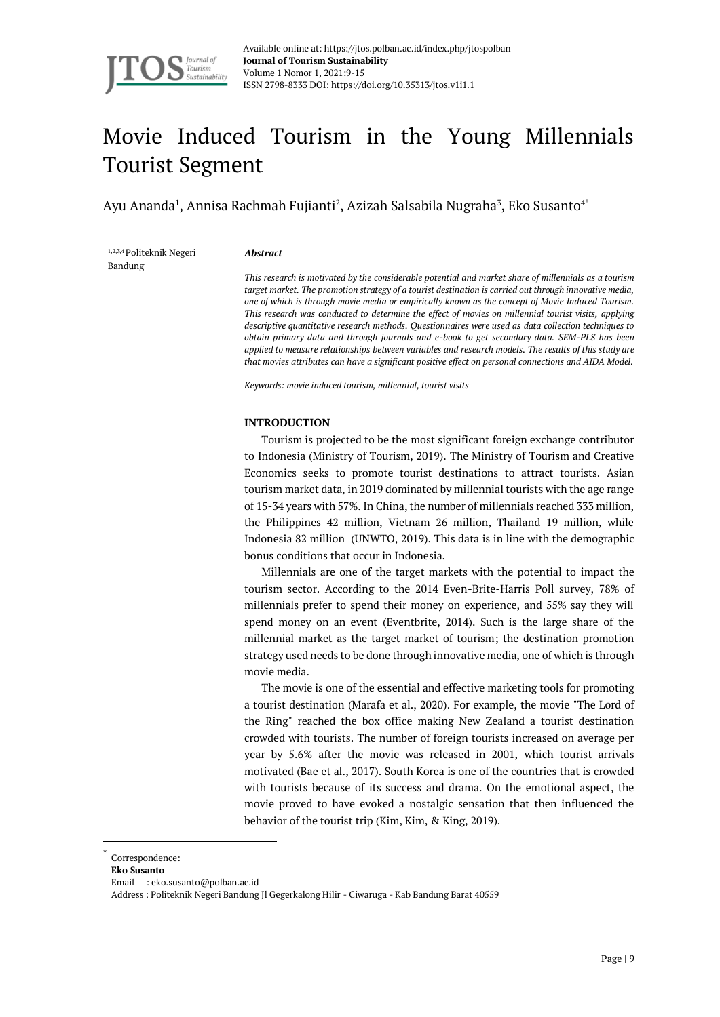

# Movie Induced Tourism in the Young Millennials Tourist Segment

Ayu Ananda<sup>1</sup>, Annisa Rachmah Fujianti<sup>2</sup>, Azizah Salsabila Nugraha<sup>3</sup>, Eko Susanto<sup>4\*</sup>

1,2,3,4 Politeknik Negeri Bandung

#### *Abstract*

*This research is motivated by the considerable potential and market share of millennials as a tourism target market. The promotion strategy of a tourist destination is carried out through innovative media, one of which is through movie media or empirically known as the concept of Movie Induced Tourism. This research was conducted to determine the effect of movies on millennial tourist visits, applying descriptive quantitative research methods. Questionnaires were used as data collection techniques to obtain primary data and through journals and e-book to get secondary data. SEM-PLS has been applied to measure relationships between variables and research models. The results of this study are that movies attributes can have a significant positive effect on personal connections and AIDA Model.*

*Keywords: movie induced tourism, millennial, tourist visits* 

# **INTRODUCTION**

Tourism is projected to be the most significant foreign exchange contributor to Indonesia (Ministry of Tourism, 2019). The Ministry of Tourism and Creative Economics seeks to promote tourist destinations to attract tourists. Asian tourism market data, in 2019 dominated by millennial tourists with the age range of 15-34 years with 57%. In China, the number of millennials reached 333 million, the Philippines 42 million, Vietnam 26 million, Thailand 19 million, while Indonesia 82 million (UNWTO, 2019). This data is in line with the demographic bonus conditions that occur in Indonesia.

Millennials are one of the target markets with the potential to impact the tourism sector. According to the 2014 Even-Brite-Harris Poll survey, 78% of millennials prefer to spend their money on experience, and 55% say they will spend money on an event (Eventbrite, 2014). Such is the large share of the millennial market as the target market of tourism; the destination promotion strategy used needs to be done through innovative media, one of which is through movie media.

The movie is one of the essential and effective marketing tools for promoting a tourist destination (Marafa et al., 2020). For example, the movie "The Lord of the Ring" reached the box office making New Zealand a tourist destination crowded with tourists. The number of foreign tourists increased on average per year by 5.6% after the movie was released in 2001, which tourist arrivals motivated (Bae et al., 2017). South Korea is one of the countries that is crowded with tourists because of its success and drama. On the emotional aspect, the movie proved to have evoked a nostalgic sensation that then influenced the behavior of the tourist trip (Kim, Kim, & King, 2019).

<sup>\*</sup> Correspondence:

**Eko Susanto**

Email : eko.susanto@polban.ac.id

Address : Politeknik Negeri Bandung Jl Gegerkalong Hilir - Ciwaruga - Kab Bandung Barat 40559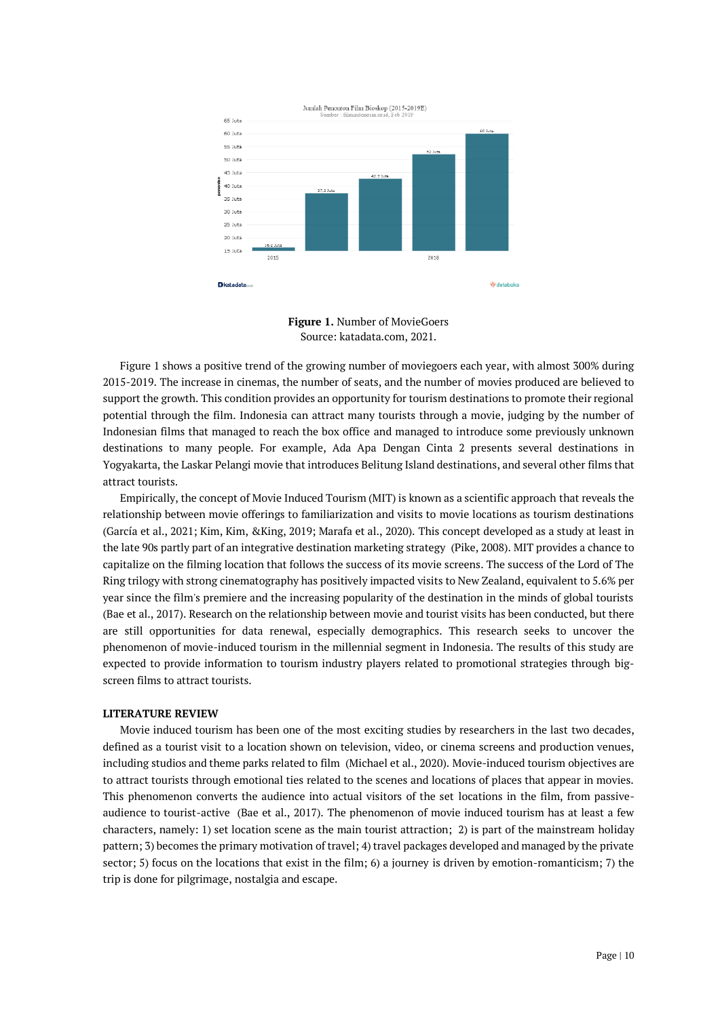

**Figure 1.** Number of MovieGoers Source: katadata.com, 2021.

Figure 1 shows a positive trend of the growing number of moviegoers each year, with almost 300% during 2015-2019. The increase in cinemas, the number of seats, and the number of movies produced are believed to support the growth. This condition provides an opportunity for tourism destinations to promote their regional potential through the film. Indonesia can attract many tourists through a movie, judging by the number of Indonesian films that managed to reach the box office and managed to introduce some previously unknown destinations to many people. For example, Ada Apa Dengan Cinta 2 presents several destinations in Yogyakarta, the Laskar Pelangi movie that introduces Belitung Island destinations, and several other films that attract tourists.

Empirically, the concept of Movie Induced Tourism (MIT) is known as a scientific approach that reveals the relationship between movie offerings to familiarization and visits to movie locations as tourism destinations (García et al., 2021; Kim, Kim, &King, 2019; Marafa et al., 2020). This concept developed as a study at least in the late 90s partly part of an integrative destination marketing strategy (Pike, 2008). MIT provides a chance to capitalize on the filming location that follows the success of its movie screens. The success of the Lord of The Ring trilogy with strong cinematography has positively impacted visits to New Zealand, equivalent to 5.6% per year since the film's premiere and the increasing popularity of the destination in the minds of global tourists (Bae et al., 2017). Research on the relationship between movie and tourist visits has been conducted, but there are still opportunities for data renewal, especially demographics. This research seeks to uncover the phenomenon of movie-induced tourism in the millennial segment in Indonesia. The results of this study are expected to provide information to tourism industry players related to promotional strategies through bigscreen films to attract tourists.

#### **LITERATURE REVIEW**

Movie induced tourism has been one of the most exciting studies by researchers in the last two decades, defined as a tourist visit to a location shown on television, video, or cinema screens and production venues, including studios and theme parks related to film (Michael et al., 2020). Movie-induced tourism objectives are to attract tourists through emotional ties related to the scenes and locations of places that appear in movies. This phenomenon converts the audience into actual visitors of the set locations in the film, from passiveaudience to tourist-active (Bae et al., 2017). The phenomenon of movie induced tourism has at least a few characters, namely: 1) set location scene as the main tourist attraction; 2) is part of the mainstream holiday pattern; 3) becomes the primary motivation of travel; 4) travel packages developed and managed by the private sector; 5) focus on the locations that exist in the film; 6) a journey is driven by emotion-romanticism; 7) the trip is done for pilgrimage, nostalgia and escape.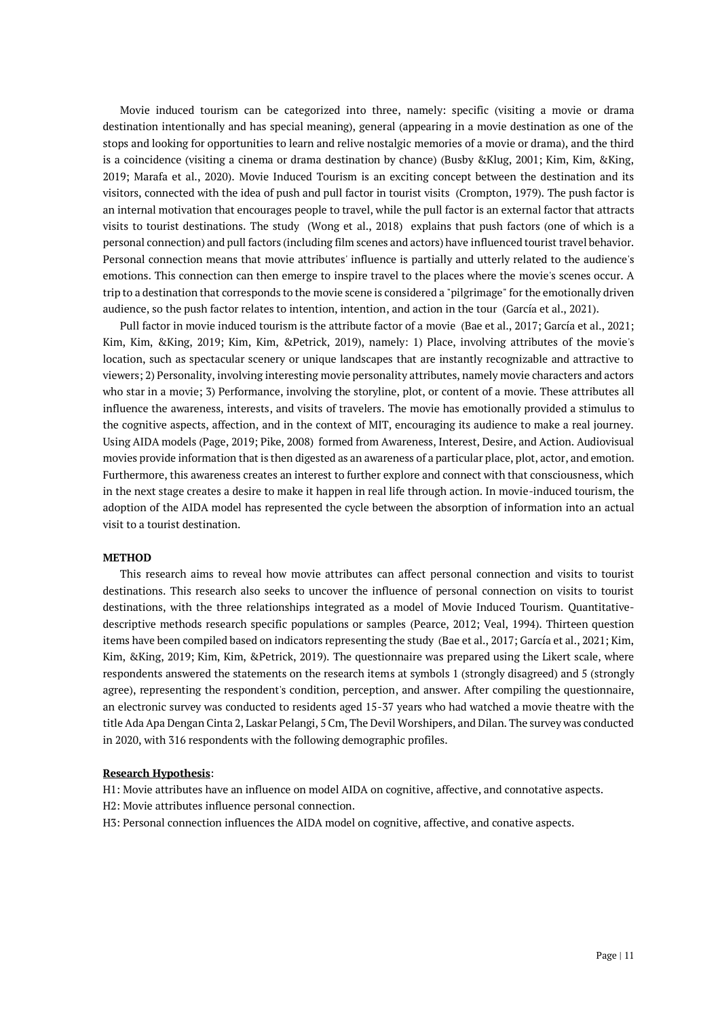Movie induced tourism can be categorized into three, namely: specific (visiting a movie or drama destination intentionally and has special meaning), general (appearing in a movie destination as one of the stops and looking for opportunities to learn and relive nostalgic memories of a movie or drama), and the third is a coincidence (visiting a cinema or drama destination by chance) (Busby &Klug, 2001; Kim, Kim, &King, 2019; Marafa et al., 2020). Movie Induced Tourism is an exciting concept between the destination and its visitors, connected with the idea of push and pull factor in tourist visits (Crompton, 1979). The push factor is an internal motivation that encourages people to travel, while the pull factor is an external factor that attracts visits to tourist destinations. The study (Wong et al., 2018) explains that push factors (one of which is a personal connection) and pull factors (including film scenes and actors) have influenced tourist travel behavior. Personal connection means that movie attributes' influence is partially and utterly related to the audience's emotions. This connection can then emerge to inspire travel to the places where the movie's scenes occur. A trip to a destination that corresponds to the movie scene is considered a "pilgrimage" for the emotionally driven audience, so the push factor relates to intention, intention, and action in the tour (García et al., 2021).

Pull factor in movie induced tourism is the attribute factor of a movie (Bae et al., 2017; García et al., 2021; Kim, Kim, &King, 2019; Kim, Kim, &Petrick, 2019), namely: 1) Place, involving attributes of the movie's location, such as spectacular scenery or unique landscapes that are instantly recognizable and attractive to viewers; 2) Personality, involving interesting movie personality attributes, namely movie characters and actors who star in a movie; 3) Performance, involving the storyline, plot, or content of a movie. These attributes all influence the awareness, interests, and visits of travelers. The movie has emotionally provided a stimulus to the cognitive aspects, affection, and in the context of MIT, encouraging its audience to make a real journey. Using AIDA models (Page, 2019; Pike, 2008) formed from Awareness, Interest, Desire, and Action. Audiovisual movies provide information that is then digested as an awareness of a particular place, plot, actor, and emotion. Furthermore, this awareness creates an interest to further explore and connect with that consciousness, which in the next stage creates a desire to make it happen in real life through action. In movie-induced tourism, the adoption of the AIDA model has represented the cycle between the absorption of information into an actual visit to a tourist destination.

#### **METHOD**

This research aims to reveal how movie attributes can affect personal connection and visits to tourist destinations. This research also seeks to uncover the influence of personal connection on visits to tourist destinations, with the three relationships integrated as a model of Movie Induced Tourism. Quantitativedescriptive methods research specific populations or samples (Pearce, 2012; Veal, 1994). Thirteen question items have been compiled based on indicators representing the study (Bae et al., 2017; García et al., 2021; Kim, Kim, &King, 2019; Kim, Kim, &Petrick, 2019). The questionnaire was prepared using the Likert scale, where respondents answered the statements on the research items at symbols 1 (strongly disagreed) and 5 (strongly agree), representing the respondent's condition, perception, and answer. After compiling the questionnaire, an electronic survey was conducted to residents aged 15-37 years who had watched a movie theatre with the title Ada Apa Dengan Cinta 2, Laskar Pelangi, 5 Cm, The Devil Worshipers, and Dilan. The survey was conducted in 2020, with 316 respondents with the following demographic profiles.

## **Research Hypothesis**:

H1: Movie attributes have an influence on model AIDA on cognitive, affective, and connotative aspects.

- H2: Movie attributes influence personal connection.
- H3: Personal connection influences the AIDA model on cognitive, affective, and conative aspects.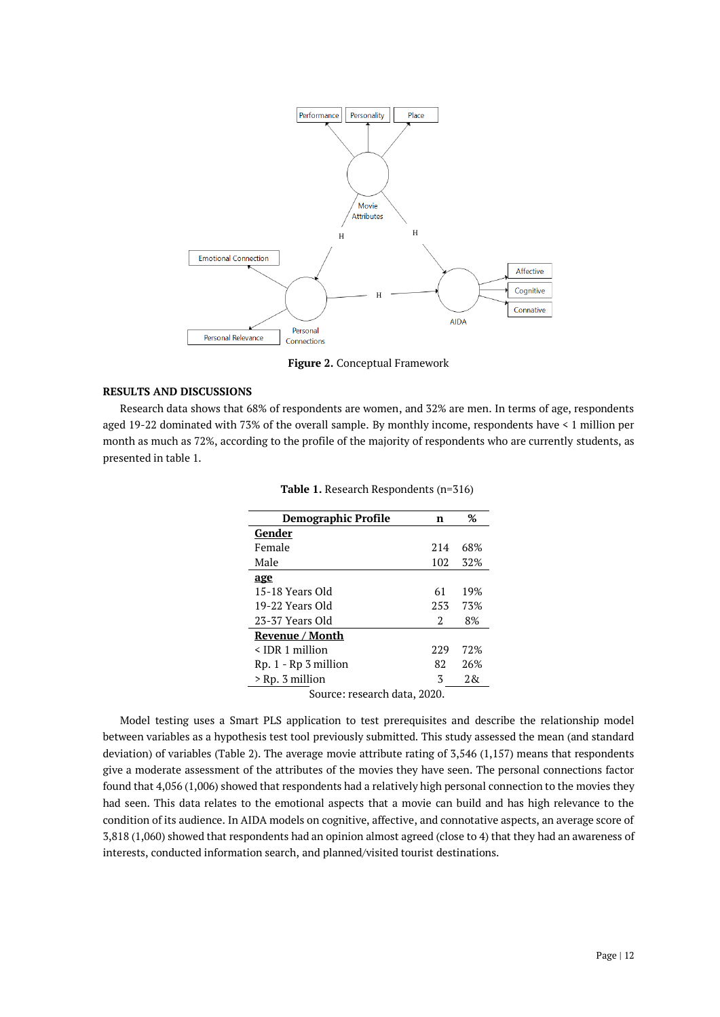

**Figure 2.** Conceptual Framework

# **RESULTS AND DISCUSSIONS**

Research data shows that 68% of respondents are women, and 32% are men. In terms of age, respondents aged 19-22 dominated with 73% of the overall sample. By monthly income, respondents have < 1 million per month as much as 72%, according to the profile of the majority of respondents who are currently students, as presented in table 1.

| <b>Demographic Profile</b>   | n   | %     |  |  |
|------------------------------|-----|-------|--|--|
| Gender                       |     |       |  |  |
| Female                       | 214 | 68%   |  |  |
| Male                         | 102 | 32%   |  |  |
| age                          |     |       |  |  |
| 15-18 Years Old              | 61  | 19%   |  |  |
| 19-22 Years Old              | 253 | 73%   |  |  |
| 23-37 Years Old              | 2   | 8%    |  |  |
| Revenue / Month              |     |       |  |  |
| $\leq$ IDR 1 million         | 229 | 72%   |  |  |
| $Rp. 1 - Rp. 3 million$      | 82  | 26%   |  |  |
| > Rp. 3 million              | 3   | 2. Rx |  |  |
| Source: research data, 2020. |     |       |  |  |

**Table 1.** Research Respondents (n=316)

Model testing uses a Smart PLS application to test prerequisites and describe the relationship model between variables as a hypothesis test tool previously submitted. This study assessed the mean (and standard deviation) of variables (Table 2). The average movie attribute rating of 3,546 (1,157) means that respondents give a moderate assessment of the attributes of the movies they have seen. The personal connections factor found that 4,056 (1,006) showed that respondents had a relatively high personal connection to the movies they had seen. This data relates to the emotional aspects that a movie can build and has high relevance to the condition of its audience. In AIDA models on cognitive, affective, and connotative aspects, an average score of 3,818 (1,060) showed that respondents had an opinion almost agreed (close to 4) that they had an awareness of interests, conducted information search, and planned/visited tourist destinations.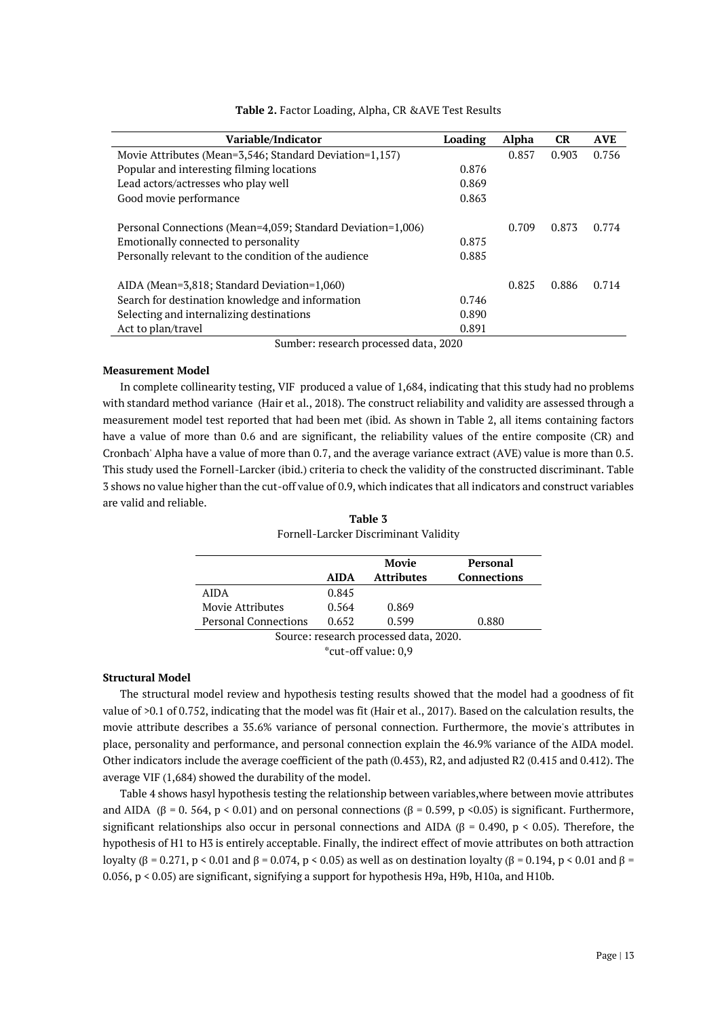| Variable/Indicator                                          | Loading | Alpha | CR    | <b>AVE</b> |
|-------------------------------------------------------------|---------|-------|-------|------------|
| Movie Attributes (Mean=3,546; Standard Deviation=1,157)     |         | 0.857 | 0.903 | 0.756      |
| Popular and interesting filming locations                   | 0.876   |       |       |            |
| Lead actors/actresses who play well                         | 0.869   |       |       |            |
| Good movie performance                                      | 0.863   |       |       |            |
| Personal Connections (Mean=4,059; Standard Deviation=1,006) |         | 0.709 | 0.873 | 0.774      |
| Emotionally connected to personality                        | 0.875   |       |       |            |
| Personally relevant to the condition of the audience        | 0.885   |       |       |            |
| AIDA (Mean=3,818; Standard Deviation=1,060)                 |         | 0.825 | 0.886 | 0.714      |
| Search for destination knowledge and information            | 0.746   |       |       |            |
| Selecting and internalizing destinations                    | 0.890   |       |       |            |
| Act to plan/travel                                          | 0.891   |       |       |            |

**Table 2.** Factor Loading, Alpha, CR &AVE Test Results

Sumber: research processed data, 2020

# **Measurement Model**

In complete collinearity testing, VIF produced a value of 1,684, indicating that this study had no problems with standard method variance (Hair et al., 2018). The construct reliability and validity are assessed through a measurement model test reported that had been met (ibid. As shown in Table 2, all items containing factors have a value of more than 0.6 and are significant, the reliability values of the entire composite (CR) and Cronbach' Alpha have a value of more than 0.7, and the average variance extract (AVE) value is more than 0.5. This study used the Fornell-Larcker (ibid.) criteria to check the validity of the constructed discriminant. Table 3 shows no value higher than the cut-off value of 0.9, which indicates that all indicators and construct variables are valid and reliable.

|                                        |             | Movie             | Personal           |  |
|----------------------------------------|-------------|-------------------|--------------------|--|
|                                        | <b>AIDA</b> | <b>Attributes</b> | <b>Connections</b> |  |
| AIDA                                   | 0.845       |                   |                    |  |
| Movie Attributes                       | 0.564       | 0.869             |                    |  |
| <b>Personal Connections</b>            | 0.652       | 0.599             | 0.880              |  |
| Source: research processed data, 2020. |             |                   |                    |  |
| *cut-off value: 0.9                    |             |                   |                    |  |

**Table 3** Fornell-Larcker Discriminant Validity

# **Structural Model**

The structural model review and hypothesis testing results showed that the model had a goodness of fit value of >0.1 of 0.752, indicating that the model was fit (Hair et al., 2017). Based on the calculation results, the movie attribute describes a 35.6% variance of personal connection. Furthermore, the movie's attributes in place, personality and performance, and personal connection explain the 46.9% variance of the AIDA model. Other indicators include the average coefficient of the path (0.453), R2, and adjusted R2 (0.415 and 0.412). The average VIF (1,684) showed the durability of the model.

Table 4 shows hasyl hypothesis testing the relationship between variables,where between movie attributes and AIDA (β = 0. 564, p < 0.01) and on personal connections (β = 0.599, p <0.05) is significant. Furthermore, significant relationships also occur in personal connections and AIDA ( $\beta$  = 0.490, p < 0.05). Therefore, the hypothesis of H1 to H3 is entirely acceptable. Finally, the indirect effect of movie attributes on both attraction loyalty (β = 0.271, p < 0.01 and β = 0.074, p < 0.05) as well as on destination loyalty (β = 0.194, p < 0.01 and β = 0.056, p < 0.05) are significant, signifying a support for hypothesis H9a, H9b, H10a, and H10b.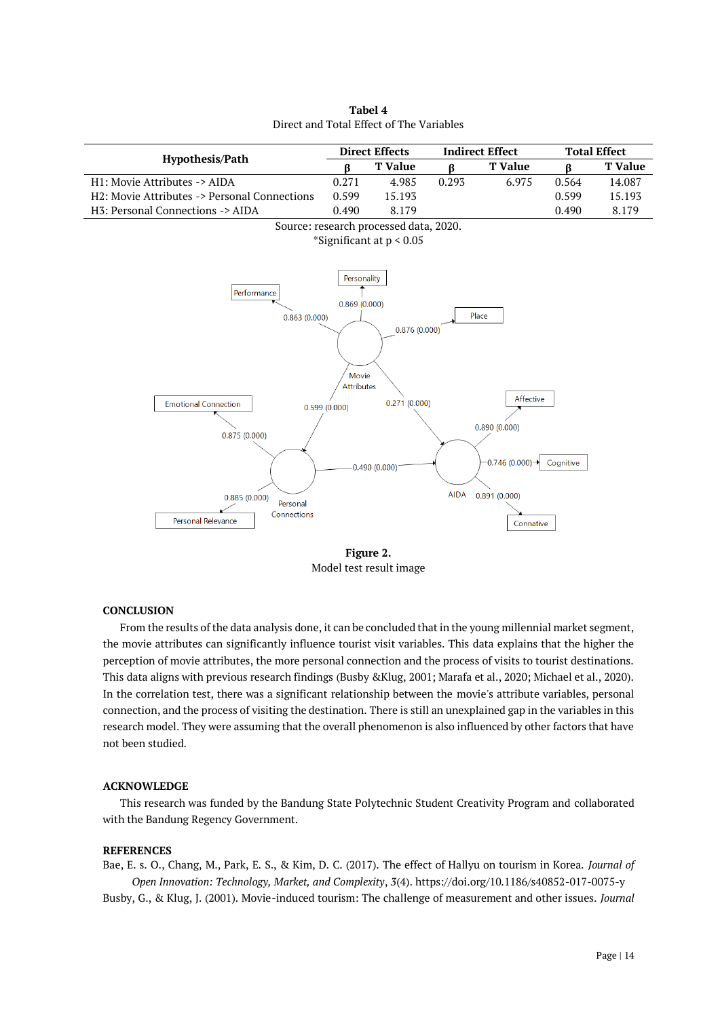| Hypothesis/Path                              | <b>Direct Effects</b> |                            | <b>Indirect Effect</b> |                             | <b>Total Effect</b> |                |
|----------------------------------------------|-----------------------|----------------------------|------------------------|-----------------------------|---------------------|----------------|
|                                              | ß                     | <b>T</b> Value             | ß                      | <b>T</b> Value              | ß                   | <b>T</b> Value |
| H1: Movie Attributes -> AIDA                 | 0.271                 | 4.985                      | 0.293                  | 6.975                       | 0.564               | 14.087         |
| H2: Movie Attributes -> Personal Connections | 0.599                 | 15.193                     |                        |                             | 0.599               | 15.193         |
| H3: Personal Connections -> AIDA             | 0.490                 | 8.179                      |                        |                             | 0.490               | 8.179          |
| Source: research processed data, 2020.       |                       |                            |                        |                             |                     |                |
|                                              |                       | *Significant at $p < 0.05$ |                        |                             |                     |                |
|                                              |                       |                            |                        |                             |                     |                |
|                                              |                       |                            |                        |                             |                     |                |
|                                              | Personality           |                            |                        |                             |                     |                |
| Performance                                  |                       |                            |                        |                             |                     |                |
| 0.863(0.000)                                 | 0.869(0.000)          |                            |                        | Place                       |                     |                |
|                                              |                       | 0.876(0.000)               |                        |                             |                     |                |
|                                              |                       |                            |                        |                             |                     |                |
|                                              |                       |                            |                        |                             |                     |                |
|                                              | Movie                 |                            |                        |                             |                     |                |
|                                              | <b>Attributes</b>     |                            |                        |                             |                     |                |
| <b>Emotional Connection</b>                  |                       | 0.271(0.000)               |                        | Affective                   |                     |                |
|                                              | 0.599(0.000)          |                            |                        |                             |                     |                |
|                                              |                       |                            |                        | 0.890(0.000)                |                     |                |
| 0.875(0.000)                                 |                       |                            |                        |                             |                     |                |
|                                              |                       |                            |                        | $-0.746(0.000) \rightarrow$ | Cognitive           |                |
|                                              |                       | $-0.490(0.000)$            |                        |                             |                     |                |
|                                              |                       |                            |                        |                             |                     |                |
| 0.885(0.000)<br>Personal                     |                       |                            | <b>AIDA</b>            | 0.891(0.000)                |                     |                |
| Connections<br>Personal Relevance            |                       |                            |                        |                             |                     |                |
|                                              |                       |                            |                        | Connative                   |                     |                |
|                                              |                       |                            |                        |                             |                     |                |

**Tabel 4** Direct and Total Effect of The Variables

**Figure 2.** Model test result image

## **CONCLUSION**

From the results of the data analysis done, it can be concluded that in the young millennial market segment, the movie attributes can significantly influence tourist visit variables. This data explains that the higher the perception of movie attributes, the more personal connection and the process of visits to tourist destinations. This data aligns with previous research findings (Busby &Klug, 2001; Marafa et al., 2020; Michael et al., 2020). In the correlation test, there was a significant relationship between the movie's attribute variables, personal connection, and the process of visiting the destination. There is still an unexplained gap in the variables in this research model. They were assuming that the overall phenomenon is also influenced by other factors that have not been studied.

#### **ACKNOWLEDGE**

This research was funded by the Bandung State Polytechnic Student Creativity Program and collaborated with the Bandung Regency Government.

# **REFERENCES**

Bae, E. s. O., Chang, M., Park, E. S., & Kim, D. C. (2017). The effect of Hallyu on tourism in Korea. *Journal of Open Innovation: Technology, Market, and Complexity*, *3*(4). https://doi.org/10.1186/s40852-017-0075-y Busby, G., & Klug, J. (2001). Movie-induced tourism: The challenge of measurement and other issues. *Journal* 

Page | 14